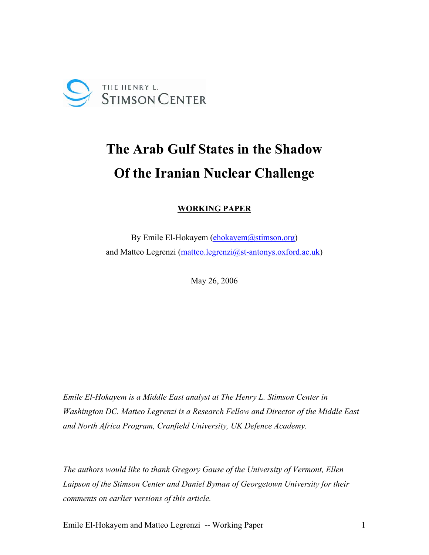

# **The Arab Gulf States in the Shadow Of the Iranian Nuclear Challenge**

**WORKING PAPER**

By Emile El-Hokayem (ehokayem @stimson.org) and Matteo Legrenzi (matteo.legrenzi@st-antonys.oxford.ac.uk)

May 26, 2006

*Emile El-Hokayem is a Middle East analyst at The Henry L. Stimson Center in Washington DC. Matteo Legrenzi is a Research Fellow and Director of the Middle East and North Africa Program, Cranfield University, UK Defence Academy.* 

*The authors would like to thank Gregory Gause of the University of Vermont, Ellen Laipson of the Stimson Center and Daniel Byman of Georgetown University for their comments on earlier versions of this article.* 

Emile El-Hokayem and Matteo Legrenzi -- Working Paper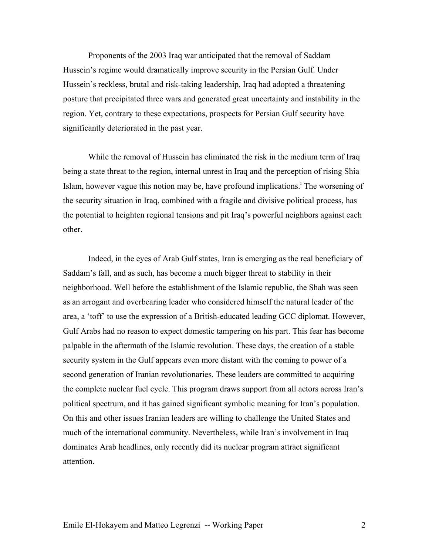Proponents of the 2003 Iraq war anticipated that the removal of Saddam Hussein's regime would dramatically improve security in the Persian Gulf. Under Hussein's reckless, brutal and risk-taking leadership, Iraq had adopted a threatening posture that precipitated three wars and generated great uncertainty and instability in the region. Yet, contrary to these expectations, prospects for Persian Gulf security have significantly deteriorated in the past year.

While the removal of Hussein has eliminated the risk in the medium term of Iraq being a state threat to the region, internal unrest in Iraq and the perception of rising Shia Islam, however vague this notion may be, have profound implications.<sup> $\text{I}$ </sup> The worsening of the security situation in Iraq, combined with a fragile and divisive political process, has the potential to heighten regional tensions and pit Iraq's powerful neighbors against each other.

Indeed, in the eyes of Arab Gulf states, Iran is emerging as the real beneficiary of Saddam's fall, and as such, has become a much bigger threat to stability in their neighborhood. Well before the establishment of the Islamic republic, the Shah was seen as an arrogant and overbearing leader who considered himself the natural leader of the area, a 'toff' to use the expression of a British-educated leading GCC diplomat. However, Gulf Arabs had no reason to expect domestic tampering on his part. This fear has become palpable in the aftermath of the Islamic revolution. These days, the creation of a stable security system in the Gulf appears even more distant with the coming to power of a second generation of Iranian revolutionaries. These leaders are committed to acquiring the complete nuclear fuel cycle. This program draws support from all actors across Iran's political spectrum, and it has gained significant symbolic meaning for Iran's population. On this and other issues Iranian leaders are willing to challenge the United States and much of the international community. Nevertheless, while Iran's involvement in Iraq dominates Arab headlines, only recently did its nuclear program attract significant attention.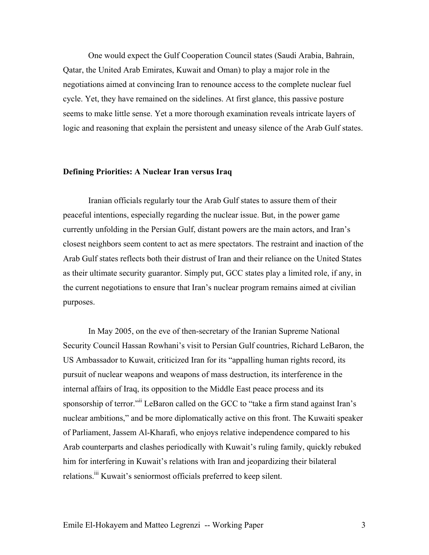One would expect the Gulf Cooperation Council states (Saudi Arabia, Bahrain, Qatar, the United Arab Emirates, Kuwait and Oman) to play a major role in the negotiations aimed at convincing Iran to renounce access to the complete nuclear fuel cycle. Yet, they have remained on the sidelines. At first glance, this passive posture seems to make little sense. Yet a more thorough examination reveals intricate layers of logic and reasoning that explain the persistent and uneasy silence of the Arab Gulf states.

## **Defining Priorities: A Nuclear Iran versus Iraq**

Iranian officials regularly tour the Arab Gulf states to assure them of their peaceful intentions, especially regarding the nuclear issue. But, in the power game currently unfolding in the Persian Gulf, distant powers are the main actors, and Iran's closest neighbors seem content to act as mere spectators. The restraint and inaction of the Arab Gulf states reflects both their distrust of Iran and their reliance on the United States as their ultimate security guarantor. Simply put, GCC states play a limited role, if any, in the current negotiations to ensure that Iran's nuclear program remains aimed at civilian purposes.

In May 2005, on the eve of then-secretary of the Iranian Supreme National Security Council Hassan Rowhani's visit to Persian Gulf countries, Richard LeBaron, the US Ambassador to Kuwait, criticized Iran for its "appalling human rights record, its pursuit of nuclear weapons and weapons of mass destruction, its interference in the internal affairs of Iraq, its opposition to the Middle East peace process and its sponsorship of terror."<sup>ii</sup> LeBaron called on the GCC to "take a firm stand against Iran's nuclear ambitions," and be more diplomatically active on this front. The Kuwaiti speaker of Parliament, Jassem Al-Kharafi, who enjoys relative independence compared to his Arab counterparts and clashes periodically with Kuwait's ruling family, quickly rebuked him for interfering in Kuwait's relations with Iran and jeopardizing their bilateral relations.<sup>iii</sup> Kuwait's seniormost officials preferred to keep silent.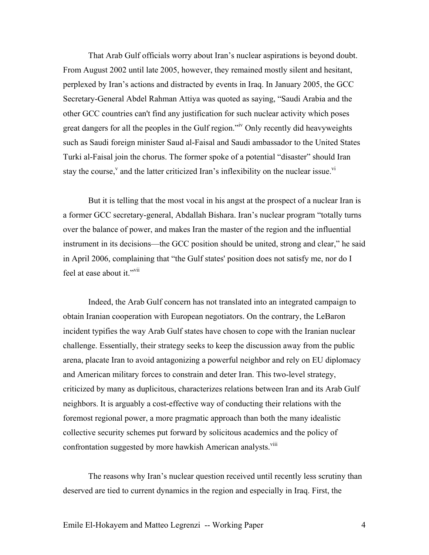That Arab Gulf officials worry about Iran's nuclear aspirations is beyond doubt. From August 2002 until late 2005, however, they remained mostly silent and hesitant, perplexed by Iran's actions and distracted by events in Iraq. In January 2005, the GCC Secretary-General Abdel Rahman Attiya was quoted as saying, "Saudi Arabia and the other GCC countries can't find any justification for such nuclear activity which poses great dangers for all the peoples in the Gulf region."iv Only recently did heavyweights such as Saudi foreign minister Saud al-Faisal and Saudi ambassador to the United States Turki al-Faisal join the chorus. The former spoke of a potential "disaster" should Iran stay the course,<sup>v</sup> and the latter criticized Iran's inflexibility on the nuclear issue.<sup>vi</sup>

But it is telling that the most vocal in his angst at the prospect of a nuclear Iran is a former GCC secretary-general, Abdallah Bishara. Iran's nuclear program "totally turns over the balance of power, and makes Iran the master of the region and the influential instrument in its decisions—the GCC position should be united, strong and clear," he said in April 2006, complaining that "the Gulf states' position does not satisfy me, nor do I feel at ease about it."<sup>vii</sup>

Indeed, the Arab Gulf concern has not translated into an integrated campaign to obtain Iranian cooperation with European negotiators. On the contrary, the LeBaron incident typifies the way Arab Gulf states have chosen to cope with the Iranian nuclear challenge. Essentially, their strategy seeks to keep the discussion away from the public arena, placate Iran to avoid antagonizing a powerful neighbor and rely on EU diplomacy and American military forces to constrain and deter Iran. This two-level strategy, criticized by many as duplicitous, characterizes relations between Iran and its Arab Gulf neighbors. It is arguably a cost-effective way of conducting their relations with the foremost regional power, a more pragmatic approach than both the many idealistic collective security schemes put forward by solicitous academics and the policy of confrontation suggested by more hawkish American analysts.<sup>viii</sup>

The reasons why Iran's nuclear question received until recently less scrutiny than deserved are tied to current dynamics in the region and especially in Iraq. First, the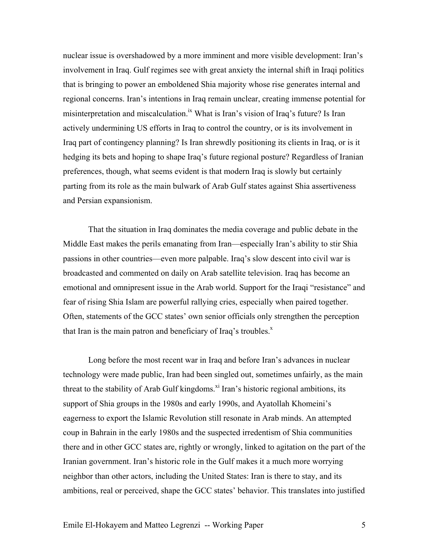nuclear issue is overshadowed by a more imminent and more visible development: Iran's involvement in Iraq. Gulf regimes see with great anxiety the internal shift in Iraqi politics that is bringing to power an emboldened Shia majority whose rise generates internal and regional concerns. Iran's intentions in Iraq remain unclear, creating immense potential for misinterpretation and miscalculation.<sup>ix</sup> What is Iran's vision of Iraq's future? Is Iran actively undermining US efforts in Iraq to control the country, or is its involvement in Iraq part of contingency planning? Is Iran shrewdly positioning its clients in Iraq, or is it hedging its bets and hoping to shape Iraq's future regional posture? Regardless of Iranian preferences, though, what seems evident is that modern Iraq is slowly but certainly parting from its role as the main bulwark of Arab Gulf states against Shia assertiveness and Persian expansionism.

That the situation in Iraq dominates the media coverage and public debate in the Middle East makes the perils emanating from Iran—especially Iran's ability to stir Shia passions in other countries—even more palpable. Iraq's slow descent into civil war is broadcasted and commented on daily on Arab satellite television. Iraq has become an emotional and omnipresent issue in the Arab world. Support for the Iraqi "resistance" and fear of rising Shia Islam are powerful rallying cries, especially when paired together. Often, statements of the GCC states' own senior officials only strengthen the perception that Iran is the main patron and beneficiary of Iraq's troubles. $^x$ 

Long before the most recent war in Iraq and before Iran's advances in nuclear technology were made public, Iran had been singled out, sometimes unfairly, as the main threat to the stability of Arab Gulf kingdoms.<sup>xi</sup> Iran's historic regional ambitions, its support of Shia groups in the 1980s and early 1990s, and Ayatollah Khomeini's eagerness to export the Islamic Revolution still resonate in Arab minds. An attempted coup in Bahrain in the early 1980s and the suspected irredentism of Shia communities there and in other GCC states are, rightly or wrongly, linked to agitation on the part of the Iranian government. Iran's historic role in the Gulf makes it a much more worrying neighbor than other actors, including the United States: Iran is there to stay, and its ambitions, real or perceived, shape the GCC states' behavior. This translates into justified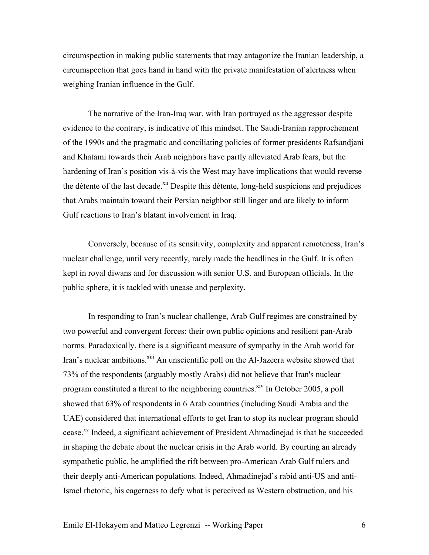circumspection in making public statements that may antagonize the Iranian leadership, a circumspection that goes hand in hand with the private manifestation of alertness when weighing Iranian influence in the Gulf.

The narrative of the Iran-Iraq war, with Iran portrayed as the aggressor despite evidence to the contrary, is indicative of this mindset. The Saudi-Iranian rapprochement of the 1990s and the pragmatic and conciliating policies of former presidents Rafsandjani and Khatami towards their Arab neighbors have partly alleviated Arab fears, but the hardening of Iran's position vis-à-vis the West may have implications that would reverse the détente of the last decade.<sup>xii</sup> Despite this détente, long-held suspicions and prejudices that Arabs maintain toward their Persian neighbor still linger and are likely to inform Gulf reactions to Iran's blatant involvement in Iraq.

Conversely, because of its sensitivity, complexity and apparent remoteness, Iran's nuclear challenge, until very recently, rarely made the headlines in the Gulf. It is often kept in royal diwans and for discussion with senior U.S. and European officials. In the public sphere, it is tackled with unease and perplexity.

In responding to Iran's nuclear challenge, Arab Gulf regimes are constrained by two powerful and convergent forces: their own public opinions and resilient pan-Arab norms. Paradoxically, there is a significant measure of sympathy in the Arab world for Iran's nuclear ambitions.<sup>xiii</sup> An unscientific poll on the Al-Jazeera website showed that 73% of the respondents (arguably mostly Arabs) did not believe that Iran's nuclear program constituted a threat to the neighboring countries.<sup>xiv</sup> In October 2005, a poll showed that 63% of respondents in 6 Arab countries (including Saudi Arabia and the UAE) considered that international efforts to get Iran to stop its nuclear program should cease.<sup>xv</sup> Indeed, a significant achievement of President Ahmadinejad is that he succeeded in shaping the debate about the nuclear crisis in the Arab world. By courting an already sympathetic public, he amplified the rift between pro-American Arab Gulf rulers and their deeply anti-American populations. Indeed, Ahmadinejad's rabid anti-US and anti-Israel rhetoric, his eagerness to defy what is perceived as Western obstruction, and his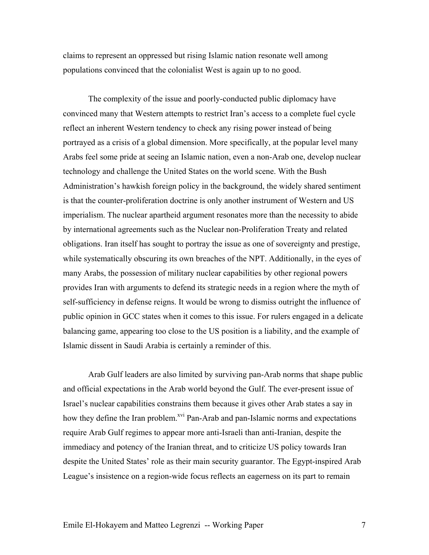claims to represent an oppressed but rising Islamic nation resonate well among populations convinced that the colonialist West is again up to no good.

The complexity of the issue and poorly-conducted public diplomacy have convinced many that Western attempts to restrict Iran's access to a complete fuel cycle reflect an inherent Western tendency to check any rising power instead of being portrayed as a crisis of a global dimension. More specifically, at the popular level many Arabs feel some pride at seeing an Islamic nation, even a non-Arab one, develop nuclear technology and challenge the United States on the world scene. With the Bush Administration's hawkish foreign policy in the background, the widely shared sentiment is that the counter-proliferation doctrine is only another instrument of Western and US imperialism. The nuclear apartheid argument resonates more than the necessity to abide by international agreements such as the Nuclear non-Proliferation Treaty and related obligations. Iran itself has sought to portray the issue as one of sovereignty and prestige, while systematically obscuring its own breaches of the NPT. Additionally, in the eyes of many Arabs, the possession of military nuclear capabilities by other regional powers provides Iran with arguments to defend its strategic needs in a region where the myth of self-sufficiency in defense reigns. It would be wrong to dismiss outright the influence of public opinion in GCC states when it comes to this issue. For rulers engaged in a delicate balancing game, appearing too close to the US position is a liability, and the example of Islamic dissent in Saudi Arabia is certainly a reminder of this.

Arab Gulf leaders are also limited by surviving pan-Arab norms that shape public and official expectations in the Arab world beyond the Gulf. The ever-present issue of Israel's nuclear capabilities constrains them because it gives other Arab states a say in how they define the Iran problem.<sup>xvi</sup> Pan-Arab and pan-Islamic norms and expectations require Arab Gulf regimes to appear more anti-Israeli than anti-Iranian, despite the immediacy and potency of the Iranian threat, and to criticize US policy towards Iran despite the United States' role as their main security guarantor. The Egypt-inspired Arab League's insistence on a region-wide focus reflects an eagerness on its part to remain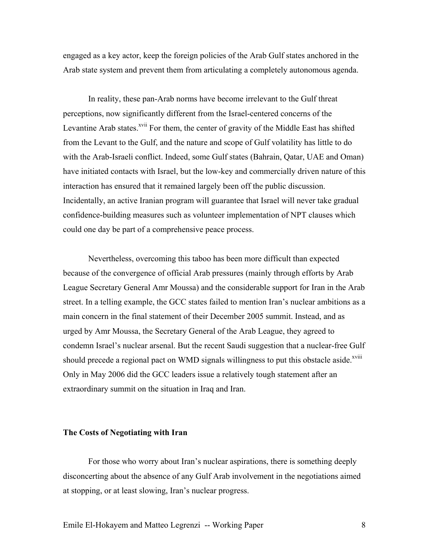engaged as a key actor, keep the foreign policies of the Arab Gulf states anchored in the Arab state system and prevent them from articulating a completely autonomous agenda.

In reality, these pan-Arab norms have become irrelevant to the Gulf threat perceptions, now significantly different from the Israel-centered concerns of the Levantine Arab states.<sup>xvii</sup> For them, the center of gravity of the Middle East has shifted from the Levant to the Gulf, and the nature and scope of Gulf volatility has little to do with the Arab-Israeli conflict. Indeed, some Gulf states (Bahrain, Qatar, UAE and Oman) have initiated contacts with Israel, but the low-key and commercially driven nature of this interaction has ensured that it remained largely been off the public discussion. Incidentally, an active Iranian program will guarantee that Israel will never take gradual confidence-building measures such as volunteer implementation of NPT clauses which could one day be part of a comprehensive peace process.

Nevertheless, overcoming this taboo has been more difficult than expected because of the convergence of official Arab pressures (mainly through efforts by Arab League Secretary General Amr Moussa) and the considerable support for Iran in the Arab street. In a telling example, the GCC states failed to mention Iran's nuclear ambitions as a main concern in the final statement of their December 2005 summit. Instead, and as urged by Amr Moussa, the Secretary General of the Arab League, they agreed to condemn Israel's nuclear arsenal. But the recent Saudi suggestion that a nuclear-free Gulf should precede a regional pact on WMD signals willingness to put this obstacle aside.<sup>xviii</sup> Only in May 2006 did the GCC leaders issue a relatively tough statement after an extraordinary summit on the situation in Iraq and Iran.

#### **The Costs of Negotiating with Iran**

For those who worry about Iran's nuclear aspirations, there is something deeply disconcerting about the absence of any Gulf Arab involvement in the negotiations aimed at stopping, or at least slowing, Iran's nuclear progress.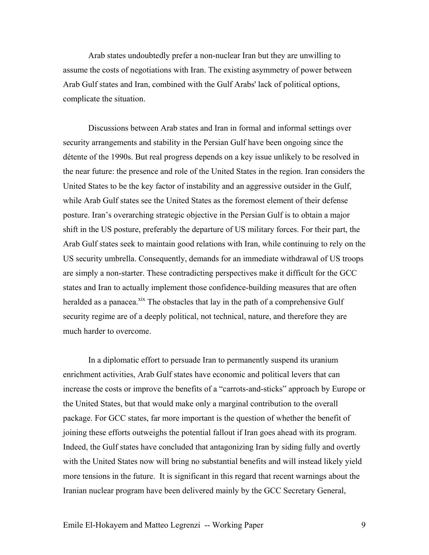Arab states undoubtedly prefer a non-nuclear Iran but they are unwilling to assume the costs of negotiations with Iran. The existing asymmetry of power between Arab Gulf states and Iran, combined with the Gulf Arabs' lack of political options, complicate the situation.

Discussions between Arab states and Iran in formal and informal settings over security arrangements and stability in the Persian Gulf have been ongoing since the détente of the 1990s. But real progress depends on a key issue unlikely to be resolved in the near future: the presence and role of the United States in the region. Iran considers the United States to be the key factor of instability and an aggressive outsider in the Gulf, while Arab Gulf states see the United States as the foremost element of their defense posture. Iran's overarching strategic objective in the Persian Gulf is to obtain a major shift in the US posture, preferably the departure of US military forces. For their part, the Arab Gulf states seek to maintain good relations with Iran, while continuing to rely on the US security umbrella. Consequently, demands for an immediate withdrawal of US troops are simply a non-starter. These contradicting perspectives make it difficult for the GCC states and Iran to actually implement those confidence-building measures that are often heralded as a panacea.<sup>xix</sup> The obstacles that lay in the path of a comprehensive Gulf security regime are of a deeply political, not technical, nature, and therefore they are much harder to overcome.

In a diplomatic effort to persuade Iran to permanently suspend its uranium enrichment activities, Arab Gulf states have economic and political levers that can increase the costs or improve the benefits of a "carrots-and-sticks" approach by Europe or the United States, but that would make only a marginal contribution to the overall package. For GCC states, far more important is the question of whether the benefit of joining these efforts outweighs the potential fallout if Iran goes ahead with its program. Indeed, the Gulf states have concluded that antagonizing Iran by siding fully and overtly with the United States now will bring no substantial benefits and will instead likely yield more tensions in the future. It is significant in this regard that recent warnings about the Iranian nuclear program have been delivered mainly by the GCC Secretary General,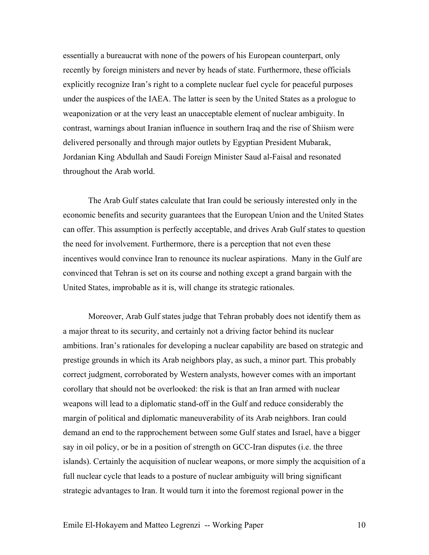essentially a bureaucrat with none of the powers of his European counterpart, only recently by foreign ministers and never by heads of state. Furthermore, these officials explicitly recognize Iran's right to a complete nuclear fuel cycle for peaceful purposes under the auspices of the IAEA. The latter is seen by the United States as a prologue to weaponization or at the very least an unacceptable element of nuclear ambiguity. In contrast, warnings about Iranian influence in southern Iraq and the rise of Shiism were delivered personally and through major outlets by Egyptian President Mubarak, Jordanian King Abdullah and Saudi Foreign Minister Saud al-Faisal and resonated throughout the Arab world.

The Arab Gulf states calculate that Iran could be seriously interested only in the economic benefits and security guarantees that the European Union and the United States can offer. This assumption is perfectly acceptable, and drives Arab Gulf states to question the need for involvement. Furthermore, there is a perception that not even these incentives would convince Iran to renounce its nuclear aspirations. Many in the Gulf are convinced that Tehran is set on its course and nothing except a grand bargain with the United States, improbable as it is, will change its strategic rationales.

Moreover, Arab Gulf states judge that Tehran probably does not identify them as a major threat to its security, and certainly not a driving factor behind its nuclear ambitions. Iran's rationales for developing a nuclear capability are based on strategic and prestige grounds in which its Arab neighbors play, as such, a minor part. This probably correct judgment, corroborated by Western analysts, however comes with an important corollary that should not be overlooked: the risk is that an Iran armed with nuclear weapons will lead to a diplomatic stand-off in the Gulf and reduce considerably the margin of political and diplomatic maneuverability of its Arab neighbors. Iran could demand an end to the rapprochement between some Gulf states and Israel, have a bigger say in oil policy, or be in a position of strength on GCC-Iran disputes (i.e. the three islands). Certainly the acquisition of nuclear weapons, or more simply the acquisition of a full nuclear cycle that leads to a posture of nuclear ambiguity will bring significant strategic advantages to Iran. It would turn it into the foremost regional power in the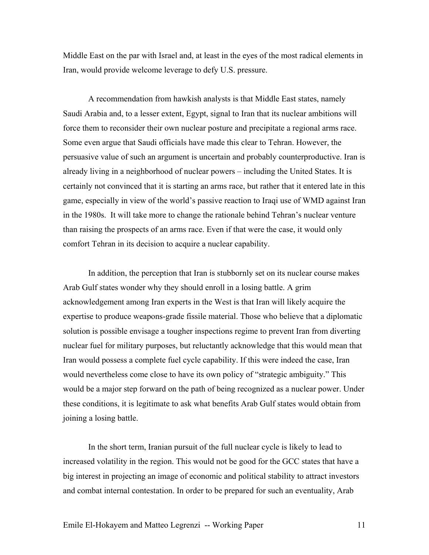Middle East on the par with Israel and, at least in the eyes of the most radical elements in Iran, would provide welcome leverage to defy U.S. pressure.

A recommendation from hawkish analysts is that Middle East states, namely Saudi Arabia and, to a lesser extent, Egypt, signal to Iran that its nuclear ambitions will force them to reconsider their own nuclear posture and precipitate a regional arms race. Some even argue that Saudi officials have made this clear to Tehran. However, the persuasive value of such an argument is uncertain and probably counterproductive. Iran is already living in a neighborhood of nuclear powers – including the United States. It is certainly not convinced that it is starting an arms race, but rather that it entered late in this game, especially in view of the world's passive reaction to Iraqi use of WMD against Iran in the 1980s. It will take more to change the rationale behind Tehran's nuclear venture than raising the prospects of an arms race. Even if that were the case, it would only comfort Tehran in its decision to acquire a nuclear capability.

In addition, the perception that Iran is stubbornly set on its nuclear course makes Arab Gulf states wonder why they should enroll in a losing battle. A grim acknowledgement among Iran experts in the West is that Iran will likely acquire the expertise to produce weapons-grade fissile material. Those who believe that a diplomatic solution is possible envisage a tougher inspections regime to prevent Iran from diverting nuclear fuel for military purposes, but reluctantly acknowledge that this would mean that Iran would possess a complete fuel cycle capability. If this were indeed the case, Iran would nevertheless come close to have its own policy of "strategic ambiguity." This would be a major step forward on the path of being recognized as a nuclear power. Under these conditions, it is legitimate to ask what benefits Arab Gulf states would obtain from joining a losing battle.

In the short term, Iranian pursuit of the full nuclear cycle is likely to lead to increased volatility in the region. This would not be good for the GCC states that have a big interest in projecting an image of economic and political stability to attract investors and combat internal contestation. In order to be prepared for such an eventuality, Arab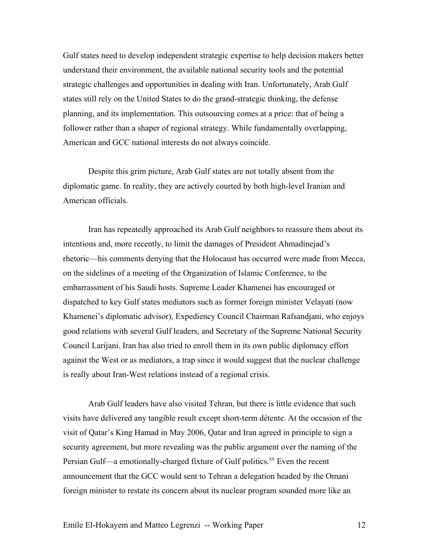Gulf states need to develop independent strategic expertise to help decision makers better understand their environment, the available national security tools and the potential strategic challenges and opportunities in dealing with Iran. Unfortunately, Arab Gulf states still rely on the United States to do the grand-strategic thinking, the defense planning, and its implementation. This outsourcing comes at a price: that of being a follower rather than a shaper of regional strategy. While fundamentally overlapping, American and GCC national interests do not always coincide.

Despite this grim picture, Arab Gulf states are not totally absent from the diplomatic game. In reality, they are actively courted by both high-level Iranian and American officials.

Iran has repeatedly approached its Arab Gulf neighbors to reassure them about its intentions and, more recently, to limit the damages of President Ahmadinejad's rhetoric—his comments denying that the Holocaust has occurred were made from Mecca, on the sidelines of a meeting of the Organization of Islamic Conference, to the embarrassment of his Saudi hosts. Supreme Leader Khamenei has encouraged or dispatched to key Gulf states mediators such as former foreign minister Velayati (now Khamenei's diplomatic advisor), Expediency Council Chairman Rafsandjani, who enjoys good relations with several Gulf leaders, and Secretary of the Supreme National Security Council Larijani. Iran has also tried to enroll them in its own public diplomacy effort against the West or as mediators, a trap since it would suggest that the nuclear challenge is really about Iran-West relations instead of a regional crisis.

Arab Gulf leaders have also visited Tehran, but there is little evidence that such visits have delivered any tangible result except short-term détente. At the occasion of the visit of Qatar's King Hamad in May 2006, Qatar and Iran agreed in principle to sign a security agreement, but more revealing was the public argument over the naming of the Persian Gulf—a emotionally-charged fixture of Gulf politics.<sup>xx</sup> Even the recent announcement that the GCC would sent to Tehran a delegation headed by the Omani foreign minister to restate its concern about its nuclear program sounded more like an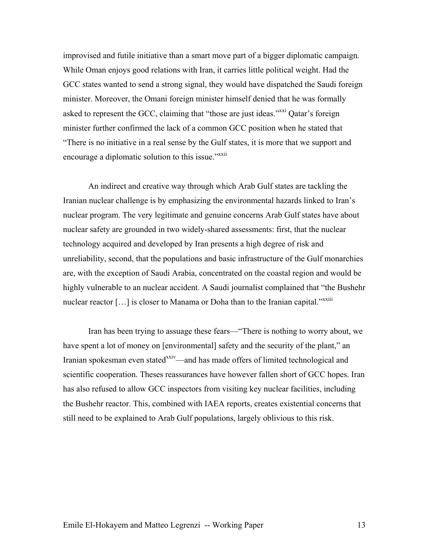improvised and futile initiative than a smart move part of a bigger diplomatic campaign. While Oman enjoys good relations with Iran, it carries little political weight. Had the GCC states wanted to send a strong signal, they would have dispatched the Saudi foreign minister. Moreover, the Omani foreign minister himself denied that he was formally asked to represent the GCC, claiming that "those are just ideas."<sup>xxxi</sup> Qatar's foreign minister further confirmed the lack of a common GCC position when he stated that "There is no initiative in a real sense by the Gulf states, it is more that we support and encourage a diplomatic solution to this issue."<sup>xxii</sup>

An indirect and creative way through which Arab Gulf states are tackling the Iranian nuclear challenge is by emphasizing the environmental hazards linked to Iran's nuclear program. The very legitimate and genuine concerns Arab Gulf states have about nuclear safety are grounded in two widely-shared assessments: first, that the nuclear technology acquired and developed by Iran presents a high degree of risk and unreliability, second, that the populations and basic infrastructure of the Gulf monarchies are, with the exception of Saudi Arabia, concentrated on the coastal region and would be highly vulnerable to an nuclear accident. A Saudi journalist complained that "the Bushehr nuclear reactor [...] is closer to Manama or Doha than to the Iranian capital."<sup>xxiii</sup>

Iran has been trying to assuage these fears—"There is nothing to worry about, we have spent a lot of money on [environmental] safety and the security of the plant," an Iranian spokesman even stated<sup>xxiv</sup>—and has made offers of limited technological and scientific cooperation. Theses reassurances have however fallen short of GCC hopes. Iran has also refused to allow GCC inspectors from visiting key nuclear facilities, including the Bushehr reactor. This, combined with IAEA reports, creates existential concerns that still need to be explained to Arab Gulf populations, largely oblivious to this risk.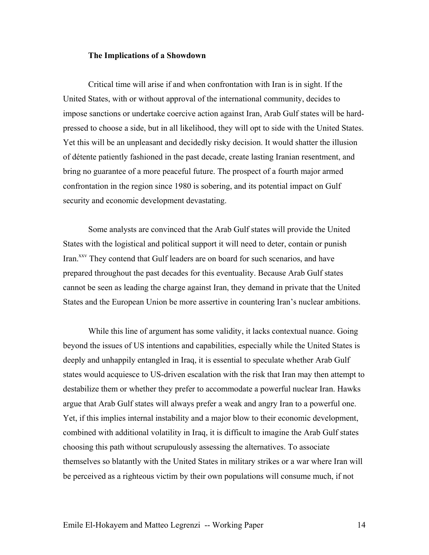## **The Implications of a Showdown**

Critical time will arise if and when confrontation with Iran is in sight. If the United States, with or without approval of the international community, decides to impose sanctions or undertake coercive action against Iran, Arab Gulf states will be hardpressed to choose a side, but in all likelihood, they will opt to side with the United States. Yet this will be an unpleasant and decidedly risky decision. It would shatter the illusion of détente patiently fashioned in the past decade, create lasting Iranian resentment, and bring no guarantee of a more peaceful future. The prospect of a fourth major armed confrontation in the region since 1980 is sobering, and its potential impact on Gulf security and economic development devastating.

Some analysts are convinced that the Arab Gulf states will provide the United States with the logistical and political support it will need to deter, contain or punish Iran.<sup>xxv</sup> They contend that Gulf leaders are on board for such scenarios, and have prepared throughout the past decades for this eventuality. Because Arab Gulf states cannot be seen as leading the charge against Iran, they demand in private that the United States and the European Union be more assertive in countering Iran's nuclear ambitions.

While this line of argument has some validity, it lacks contextual nuance. Going beyond the issues of US intentions and capabilities, especially while the United States is deeply and unhappily entangled in Iraq, it is essential to speculate whether Arab Gulf states would acquiesce to US-driven escalation with the risk that Iran may then attempt to destabilize them or whether they prefer to accommodate a powerful nuclear Iran. Hawks argue that Arab Gulf states will always prefer a weak and angry Iran to a powerful one. Yet, if this implies internal instability and a major blow to their economic development, combined with additional volatility in Iraq, it is difficult to imagine the Arab Gulf states choosing this path without scrupulously assessing the alternatives. To associate themselves so blatantly with the United States in military strikes or a war where Iran will be perceived as a righteous victim by their own populations will consume much, if not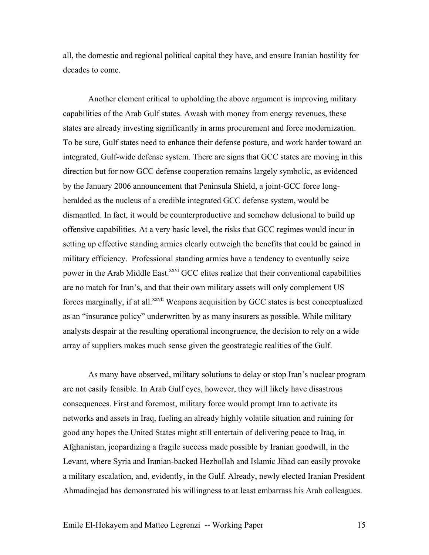all, the domestic and regional political capital they have, and ensure Iranian hostility for decades to come.

Another element critical to upholding the above argument is improving military capabilities of the Arab Gulf states. Awash with money from energy revenues, these states are already investing significantly in arms procurement and force modernization. To be sure, Gulf states need to enhance their defense posture, and work harder toward an integrated, Gulf-wide defense system. There are signs that GCC states are moving in this direction but for now GCC defense cooperation remains largely symbolic, as evidenced by the January 2006 announcement that Peninsula Shield, a joint-GCC force longheralded as the nucleus of a credible integrated GCC defense system, would be dismantled. In fact, it would be counterproductive and somehow delusional to build up offensive capabilities. At a very basic level, the risks that GCC regimes would incur in setting up effective standing armies clearly outweigh the benefits that could be gained in military efficiency. Professional standing armies have a tendency to eventually seize power in the Arab Middle East.<sup>xxvi</sup> GCC elites realize that their conventional capabilities are no match for Iran's, and that their own military assets will only complement US forces marginally, if at all.<sup>xxvii</sup> Weapons acquisition by GCC states is best conceptualized as an "insurance policy" underwritten by as many insurers as possible. While military analysts despair at the resulting operational incongruence, the decision to rely on a wide array of suppliers makes much sense given the geostrategic realities of the Gulf.

As many have observed, military solutions to delay or stop Iran's nuclear program are not easily feasible. In Arab Gulf eyes, however, they will likely have disastrous consequences. First and foremost, military force would prompt Iran to activate its networks and assets in Iraq, fueling an already highly volatile situation and ruining for good any hopes the United States might still entertain of delivering peace to Iraq, in Afghanistan, jeopardizing a fragile success made possible by Iranian goodwill, in the Levant, where Syria and Iranian-backed Hezbollah and Islamic Jihad can easily provoke a military escalation, and, evidently, in the Gulf. Already, newly elected Iranian President Ahmadinejad has demonstrated his willingness to at least embarrass his Arab colleagues.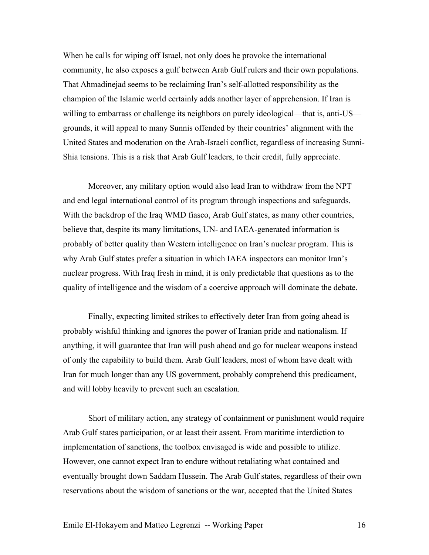When he calls for wiping off Israel, not only does he provoke the international community, he also exposes a gulf between Arab Gulf rulers and their own populations. That Ahmadinejad seems to be reclaiming Iran's self-allotted responsibility as the champion of the Islamic world certainly adds another layer of apprehension. If Iran is willing to embarrass or challenge its neighbors on purely ideological—that is, anti-US grounds, it will appeal to many Sunnis offended by their countries' alignment with the United States and moderation on the Arab-Israeli conflict, regardless of increasing Sunni-Shia tensions. This is a risk that Arab Gulf leaders, to their credit, fully appreciate.

Moreover, any military option would also lead Iran to withdraw from the NPT and end legal international control of its program through inspections and safeguards. With the backdrop of the Iraq WMD fiasco, Arab Gulf states, as many other countries, believe that, despite its many limitations, UN- and IAEA-generated information is probably of better quality than Western intelligence on Iran's nuclear program. This is why Arab Gulf states prefer a situation in which IAEA inspectors can monitor Iran's nuclear progress. With Iraq fresh in mind, it is only predictable that questions as to the quality of intelligence and the wisdom of a coercive approach will dominate the debate.

Finally, expecting limited strikes to effectively deter Iran from going ahead is probably wishful thinking and ignores the power of Iranian pride and nationalism. If anything, it will guarantee that Iran will push ahead and go for nuclear weapons instead of only the capability to build them. Arab Gulf leaders, most of whom have dealt with Iran for much longer than any US government, probably comprehend this predicament, and will lobby heavily to prevent such an escalation.

Short of military action, any strategy of containment or punishment would require Arab Gulf states participation, or at least their assent. From maritime interdiction to implementation of sanctions, the toolbox envisaged is wide and possible to utilize. However, one cannot expect Iran to endure without retaliating what contained and eventually brought down Saddam Hussein. The Arab Gulf states, regardless of their own reservations about the wisdom of sanctions or the war, accepted that the United States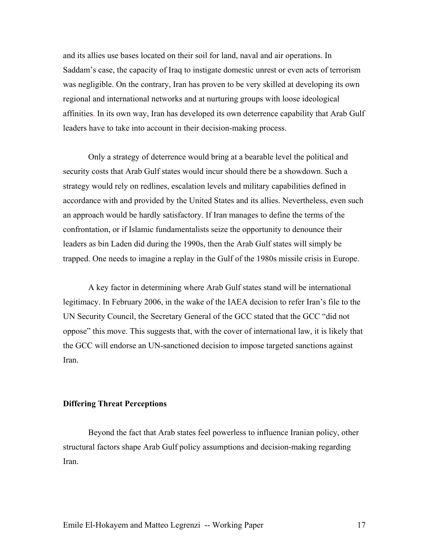and its allies use bases located on their soil for land, naval and air operations. In Saddam's case, the capacity of Iraq to instigate domestic unrest or even acts of terrorism was negligible. On the contrary, Iran has proven to be very skilled at developing its own regional and international networks and at nurturing groups with loose ideological affinities. In its own way, Iran has developed its own deterrence capability that Arab Gulf leaders have to take into account in their decision-making process.

Only a strategy of deterrence would bring at a bearable level the political and security costs that Arab Gulf states would incur should there be a showdown. Such a strategy would rely on redlines, escalation levels and military capabilities defined in accordance with and provided by the United States and its allies. Nevertheless, even such an approach would be hardly satisfactory. If Iran manages to define the terms of the confrontation, or if Islamic fundamentalists seize the opportunity to denounce their leaders as bin Laden did during the 1990s, then the Arab Gulf states will simply be trapped. One needs to imagine a replay in the Gulf of the 1980s missile crisis in Europe.

 A key factor in determining where Arab Gulf states stand will be international legitimacy. In February 2006, in the wake of the IAEA decision to refer Iran's file to the UN Security Council, the Secretary General of the GCC stated that the GCC "did not oppose" this move. This suggests that, with the cover of international law, it is likely that the GCC will endorse an UN-sanctioned decision to impose targeted sanctions against Iran.

## **Differing Threat Perceptions**

Beyond the fact that Arab states feel powerless to influence Iranian policy, other structural factors shape Arab Gulf policy assumptions and decision-making regarding Iran.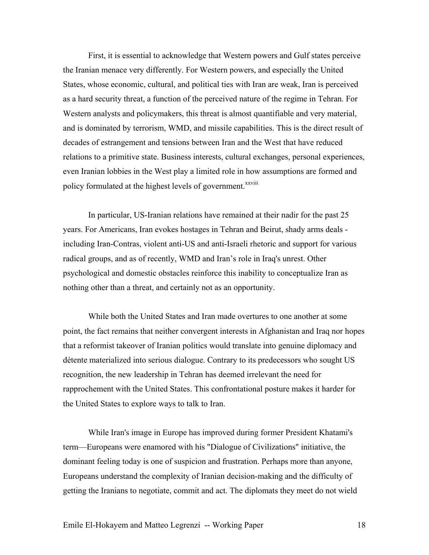First, it is essential to acknowledge that Western powers and Gulf states perceive the Iranian menace very differently. For Western powers, and especially the United States, whose economic, cultural, and political ties with Iran are weak, Iran is perceived as a hard security threat, a function of the perceived nature of the regime in Tehran. For Western analysts and policymakers, this threat is almost quantifiable and very material, and is dominated by terrorism, WMD, and missile capabilities. This is the direct result of decades of estrangement and tensions between Iran and the West that have reduced relations to a primitive state. Business interests, cultural exchanges, personal experiences, even Iranian lobbies in the West play a limited role in how assumptions are formed and policy formulated at the highest levels of government.<sup>xxviii</sup>

In particular, US-Iranian relations have remained at their nadir for the past 25 years. For Americans, Iran evokes hostages in Tehran and Beirut, shady arms deals including Iran-Contras, violent anti-US and anti-Israeli rhetoric and support for various radical groups, and as of recently, WMD and Iran's role in Iraq's unrest. Other psychological and domestic obstacles reinforce this inability to conceptualize Iran as nothing other than a threat, and certainly not as an opportunity.

While both the United States and Iran made overtures to one another at some point, the fact remains that neither convergent interests in Afghanistan and Iraq nor hopes that a reformist takeover of Iranian politics would translate into genuine diplomacy and détente materialized into serious dialogue. Contrary to its predecessors who sought US recognition, the new leadership in Tehran has deemed irrelevant the need for rapprochement with the United States. This confrontational posture makes it harder for the United States to explore ways to talk to Iran.

While Iran's image in Europe has improved during former President Khatami's term—Europeans were enamored with his "Dialogue of Civilizations" initiative, the dominant feeling today is one of suspicion and frustration. Perhaps more than anyone, Europeans understand the complexity of Iranian decision-making and the difficulty of getting the Iranians to negotiate, commit and act. The diplomats they meet do not wield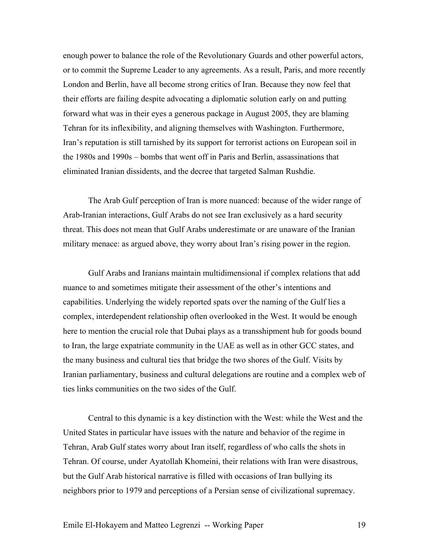enough power to balance the role of the Revolutionary Guards and other powerful actors, or to commit the Supreme Leader to any agreements. As a result, Paris, and more recently London and Berlin, have all become strong critics of Iran. Because they now feel that their efforts are failing despite advocating a diplomatic solution early on and putting forward what was in their eyes a generous package in August 2005, they are blaming Tehran for its inflexibility, and aligning themselves with Washington. Furthermore, Iran's reputation is still tarnished by its support for terrorist actions on European soil in the 1980s and 1990s – bombs that went off in Paris and Berlin, assassinations that eliminated Iranian dissidents, and the decree that targeted Salman Rushdie.

The Arab Gulf perception of Iran is more nuanced: because of the wider range of Arab-Iranian interactions, Gulf Arabs do not see Iran exclusively as a hard security threat. This does not mean that Gulf Arabs underestimate or are unaware of the Iranian military menace: as argued above, they worry about Iran's rising power in the region.

Gulf Arabs and Iranians maintain multidimensional if complex relations that add nuance to and sometimes mitigate their assessment of the other's intentions and capabilities. Underlying the widely reported spats over the naming of the Gulf lies a complex, interdependent relationship often overlooked in the West. It would be enough here to mention the crucial role that Dubai plays as a transshipment hub for goods bound to Iran, the large expatriate community in the UAE as well as in other GCC states, and the many business and cultural ties that bridge the two shores of the Gulf. Visits by Iranian parliamentary, business and cultural delegations are routine and a complex web of ties links communities on the two sides of the Gulf.

Central to this dynamic is a key distinction with the West: while the West and the United States in particular have issues with the nature and behavior of the regime in Tehran, Arab Gulf states worry about Iran itself, regardless of who calls the shots in Tehran. Of course, under Ayatollah Khomeini, their relations with Iran were disastrous, but the Gulf Arab historical narrative is filled with occasions of Iran bullying its neighbors prior to 1979 and perceptions of a Persian sense of civilizational supremacy.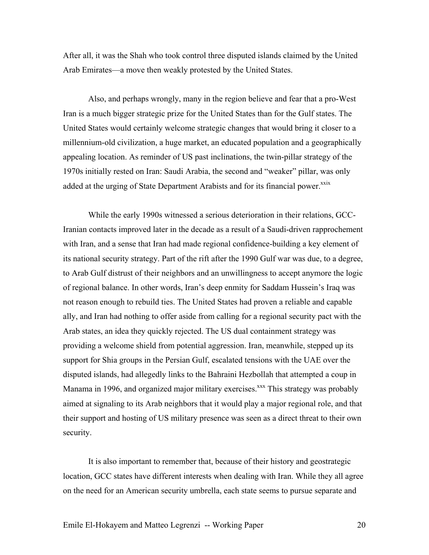After all, it was the Shah who took control three disputed islands claimed by the United Arab Emirates—a move then weakly protested by the United States.

Also, and perhaps wrongly, many in the region believe and fear that a pro-West Iran is a much bigger strategic prize for the United States than for the Gulf states. The United States would certainly welcome strategic changes that would bring it closer to a millennium-old civilization, a huge market, an educated population and a geographically appealing location. As reminder of US past inclinations, the twin-pillar strategy of the 1970s initially rested on Iran: Saudi Arabia, the second and "weaker" pillar, was only added at the urging of State Department Arabists and for its financial power.<sup>xxix</sup>

While the early 1990s witnessed a serious deterioration in their relations, GCC-Iranian contacts improved later in the decade as a result of a Saudi-driven rapprochement with Iran, and a sense that Iran had made regional confidence-building a key element of its national security strategy. Part of the rift after the 1990 Gulf war was due, to a degree, to Arab Gulf distrust of their neighbors and an unwillingness to accept anymore the logic of regional balance. In other words, Iran's deep enmity for Saddam Hussein's Iraq was not reason enough to rebuild ties. The United States had proven a reliable and capable ally, and Iran had nothing to offer aside from calling for a regional security pact with the Arab states, an idea they quickly rejected. The US dual containment strategy was providing a welcome shield from potential aggression. Iran, meanwhile, stepped up its support for Shia groups in the Persian Gulf, escalated tensions with the UAE over the disputed islands, had allegedly links to the Bahraini Hezbollah that attempted a coup in Manama in 1996, and organized major military exercises.<sup>xxx</sup> This strategy was probably aimed at signaling to its Arab neighbors that it would play a major regional role, and that their support and hosting of US military presence was seen as a direct threat to their own security.

It is also important to remember that, because of their history and geostrategic location, GCC states have different interests when dealing with Iran. While they all agree on the need for an American security umbrella, each state seems to pursue separate and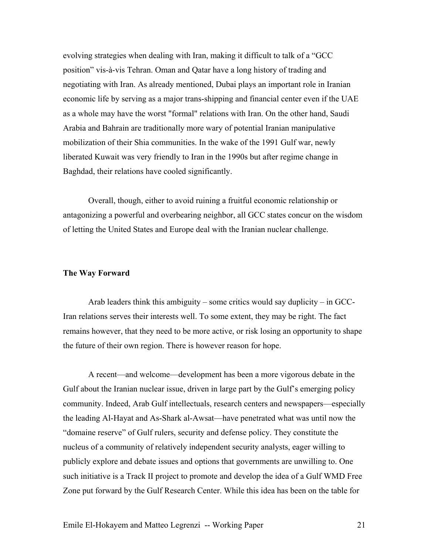evolving strategies when dealing with Iran, making it difficult to talk of a "GCC position" vis-à-vis Tehran. Oman and Qatar have a long history of trading and negotiating with Iran. As already mentioned, Dubai plays an important role in Iranian economic life by serving as a major trans-shipping and financial center even if the UAE as a whole may have the worst "formal" relations with Iran. On the other hand, Saudi Arabia and Bahrain are traditionally more wary of potential Iranian manipulative mobilization of their Shia communities. In the wake of the 1991 Gulf war, newly liberated Kuwait was very friendly to Iran in the 1990s but after regime change in Baghdad, their relations have cooled significantly.

Overall, though, either to avoid ruining a fruitful economic relationship or antagonizing a powerful and overbearing neighbor, all GCC states concur on the wisdom of letting the United States and Europe deal with the Iranian nuclear challenge.

## **The Way Forward**

Arab leaders think this ambiguity – some critics would say duplicity – in GCC-Iran relations serves their interests well. To some extent, they may be right. The fact remains however, that they need to be more active, or risk losing an opportunity to shape the future of their own region. There is however reason for hope.

A recent—and welcome—development has been a more vigorous debate in the Gulf about the Iranian nuclear issue, driven in large part by the Gulf's emerging policy community. Indeed, Arab Gulf intellectuals, research centers and newspapers—especially the leading Al-Hayat and As-Shark al-Awsat—have penetrated what was until now the "domaine reserve" of Gulf rulers, security and defense policy. They constitute the nucleus of a community of relatively independent security analysts, eager willing to publicly explore and debate issues and options that governments are unwilling to. One such initiative is a Track II project to promote and develop the idea of a Gulf WMD Free Zone put forward by the Gulf Research Center. While this idea has been on the table for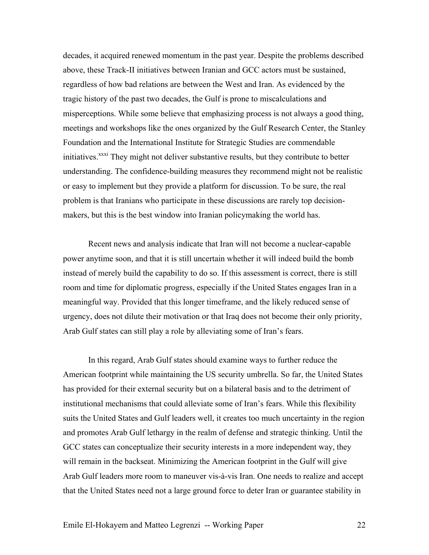decades, it acquired renewed momentum in the past year. Despite the problems described above, these Track-II initiatives between Iranian and GCC actors must be sustained, regardless of how bad relations are between the West and Iran. As evidenced by the tragic history of the past two decades, the Gulf is prone to miscalculations and misperceptions. While some believe that emphasizing process is not always a good thing, meetings and workshops like the ones organized by the Gulf Research Center, the Stanley Foundation and the International Institute for Strategic Studies are commendable initiatives.<sup>xxxi</sup> They might not deliver substantive results, but they contribute to better understanding. The confidence-building measures they recommend might not be realistic or easy to implement but they provide a platform for discussion. To be sure, the real problem is that Iranians who participate in these discussions are rarely top decisionmakers, but this is the best window into Iranian policymaking the world has.

Recent news and analysis indicate that Iran will not become a nuclear-capable power anytime soon, and that it is still uncertain whether it will indeed build the bomb instead of merely build the capability to do so. If this assessment is correct, there is still room and time for diplomatic progress, especially if the United States engages Iran in a meaningful way. Provided that this longer timeframe, and the likely reduced sense of urgency, does not dilute their motivation or that Iraq does not become their only priority, Arab Gulf states can still play a role by alleviating some of Iran's fears.

In this regard, Arab Gulf states should examine ways to further reduce the American footprint while maintaining the US security umbrella. So far, the United States has provided for their external security but on a bilateral basis and to the detriment of institutional mechanisms that could alleviate some of Iran's fears. While this flexibility suits the United States and Gulf leaders well, it creates too much uncertainty in the region and promotes Arab Gulf lethargy in the realm of defense and strategic thinking. Until the GCC states can conceptualize their security interests in a more independent way, they will remain in the backseat. Minimizing the American footprint in the Gulf will give Arab Gulf leaders more room to maneuver vis-à-vis Iran. One needs to realize and accept that the United States need not a large ground force to deter Iran or guarantee stability in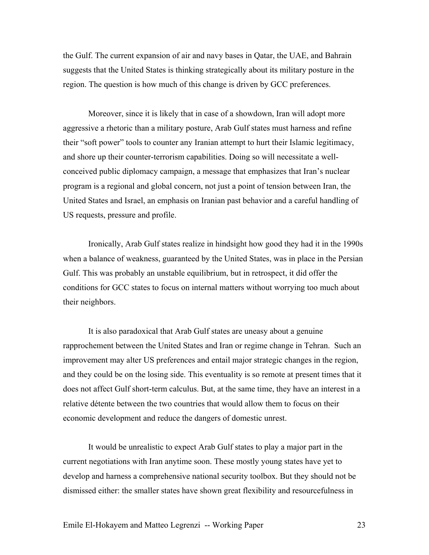the Gulf. The current expansion of air and navy bases in Qatar, the UAE, and Bahrain suggests that the United States is thinking strategically about its military posture in the region. The question is how much of this change is driven by GCC preferences.

Moreover, since it is likely that in case of a showdown, Iran will adopt more aggressive a rhetoric than a military posture, Arab Gulf states must harness and refine their "soft power" tools to counter any Iranian attempt to hurt their Islamic legitimacy, and shore up their counter-terrorism capabilities. Doing so will necessitate a wellconceived public diplomacy campaign, a message that emphasizes that Iran's nuclear program is a regional and global concern, not just a point of tension between Iran, the United States and Israel, an emphasis on Iranian past behavior and a careful handling of US requests, pressure and profile.

Ironically, Arab Gulf states realize in hindsight how good they had it in the 1990s when a balance of weakness, guaranteed by the United States, was in place in the Persian Gulf. This was probably an unstable equilibrium, but in retrospect, it did offer the conditions for GCC states to focus on internal matters without worrying too much about their neighbors.

It is also paradoxical that Arab Gulf states are uneasy about a genuine rapprochement between the United States and Iran or regime change in Tehran. Such an improvement may alter US preferences and entail major strategic changes in the region, and they could be on the losing side. This eventuality is so remote at present times that it does not affect Gulf short-term calculus. But, at the same time, they have an interest in a relative détente between the two countries that would allow them to focus on their economic development and reduce the dangers of domestic unrest.

It would be unrealistic to expect Arab Gulf states to play a major part in the current negotiations with Iran anytime soon. These mostly young states have yet to develop and harness a comprehensive national security toolbox. But they should not be dismissed either: the smaller states have shown great flexibility and resourcefulness in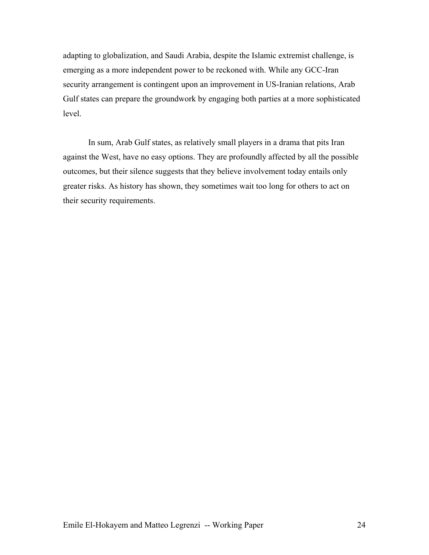adapting to globalization, and Saudi Arabia, despite the Islamic extremist challenge, is emerging as a more independent power to be reckoned with. While any GCC-Iran security arrangement is contingent upon an improvement in US-Iranian relations, Arab Gulf states can prepare the groundwork by engaging both parties at a more sophisticated level.

In sum, Arab Gulf states, as relatively small players in a drama that pits Iran against the West, have no easy options. They are profoundly affected by all the possible outcomes, but their silence suggests that they believe involvement today entails only greater risks. As history has shown, they sometimes wait too long for others to act on their security requirements.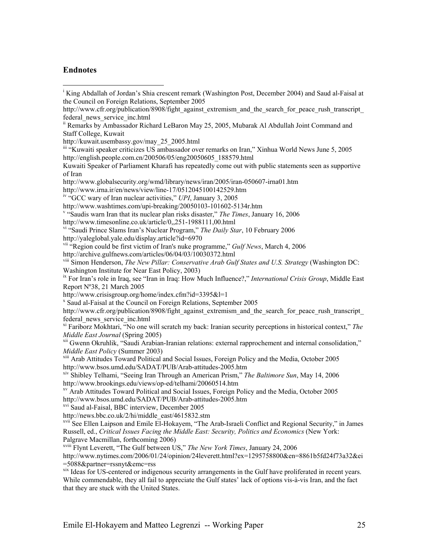## **Endnotes**

 $\overline{a}$ 

http://kuwait.usembassy.gov/may\_25\_2005.html

iii "Kuwaiti speaker criticizes US ambassador over remarks on Iran," Xinhua World News June 5, 2005 http://english.people.com.cn/200506/05/eng20050605\_188579.html

Kuwaiti Speaker of Parliament Kharafi has repeatedly come out with public statements seen as supportive of Iran

http://www.globalsecurity.org/wmd/library/news/iran/2005/iran-050607-irna01.htm

http://www.irna.ir/en/news/view/line-17/0512045100142529.htm

iv "GCC wary of Iran nuclear activities," *UPI*, January 3, 2005

http://www.washtimes.com/upi-breaking/20050103-101602-5134r.htm

"Saudis warn Iran that its nuclear plan risks disaster," *The Times*, January 16, 2006

vi "Saudi Prince Slams Iran's Nuclear Program," *The Daily Star*, 10 February 2006 http://yaleglobal.yale.edu/display.article?id=6970

viii Simon Henderson, *The New Pillar: Conservative Arab Gulf States and U.S. Strategy* (Washington DC: Washington Institute for Near East Policy, 2003)

ix For Iran's role in Iraq, see "Iran in Iraq: How Much Influence?," *International Crisis Group*, Middle East Report Nº38, 21 March 2005

http://www.crisisgroup.org/home/index.cfm?id=3395&l=1

x Saud al-Faisal at the Council on Foreign Relations, September 2005

http://www.cfr.org/publication/8908/fight against extremism and the search for peace rush transcript federal news service inc.html

xi Fariborz Mokhtari, "No one will scratch my back: Iranian security perceptions in historical context," *The* 

*Middle East Journal* (Spring 2005)<br><sup>xii</sup> Gwenn Okruhlik, "Saudi Arabian-Iranian relations: external rapprochement and internal consolidation,"<br>*Middle East Policy* (Summer 2003)

<sup>xiii</sup> Arab Attitudes Toward Political and Social Issues, Foreign Policy and the Media, October 2005 http://www.bsos.umd.edu/SADAT/PUB/Arab-attitudes-2005.htm

xiv Shibley Telhami, "Seeing Iran Through an American Prism," *The Baltimore Sun*, May 14, 2006

 $\frac{1}{N}$  Arab Attitudes Toward Political and Social Issues, Foreign Policy and the Media, October 2005 http://www.bsos.umd.edu/SADAT/PUB/Arab-attitudes-2005.htm

<sup>xvi</sup> Saud al-Faisal, BBC interview, December 2005

http://news.bbc.co.uk/2/hi/middle\_east/4615832.stm

xvii See Ellen Laipson and Emile El-Hokayem, "The Arab-Israeli Conflict and Regional Security," in James Russell, ed., *Critical Issues Facing the Middle East: Security, Politics and Economics* (New York: Palgrave Macmillan, forthcoming 2006)

xviii Flynt Leverett, "The Gulf between US," *The New York Times*, January 24, 2006

http://www.nytimes.com/2006/01/24/opinion/24leverett.html?ex=1295758800&en=8861b5fd24f73a32&ei =5088&partner=rssnyt&emc=rss

xix Ideas for US-centered or indigenous security arrangements in the Gulf have proliferated in recent years. While commendable, they all fail to appreciate the Gulf states' lack of options vis-à-vis Iran, and the fact that they are stuck with the United States.

<sup>&</sup>lt;sup>i</sup> King Abdallah of Jordan's Shia crescent remark (Washington Post, December 2004) and Saud al-Faisal at the Council on Foreign Relations, September 2005

http://www.cfr.org/publication/8908/fight against extremism and the search for peace rush transcript federal\_news\_service\_inc.html

<sup>&</sup>lt;sup>ii</sup> Remarks by Ambassador Richard LeBaron May 25, 2005, Mubarak Al Abdullah Joint Command and Staff College, Kuwait

http://www.timesonline.co.uk/article/0,,251-1988111,00.html

vii "Region could be first victim of Iran's nuke programme," *Gulf News*, March 4, 2006 http://archive.gulfnews.com/articles/06/04/03/10030372.html